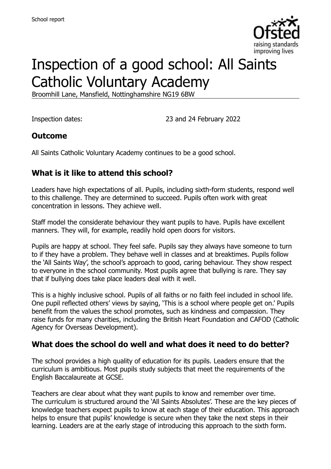

# Inspection of a good school: All Saints Catholic Voluntary Academy

Broomhill Lane, Mansfield, Nottinghamshire NG19 6BW

Inspection dates: 23 and 24 February 2022

#### **Outcome**

All Saints Catholic Voluntary Academy continues to be a good school.

### **What is it like to attend this school?**

Leaders have high expectations of all. Pupils, including sixth-form students, respond well to this challenge. They are determined to succeed. Pupils often work with great concentration in lessons. They achieve well.

Staff model the considerate behaviour they want pupils to have. Pupils have excellent manners. They will, for example, readily hold open doors for visitors.

Pupils are happy at school. They feel safe. Pupils say they always have someone to turn to if they have a problem. They behave well in classes and at breaktimes. Pupils follow the 'All Saints Way', the school's approach to good, caring behaviour. They show respect to everyone in the school community. Most pupils agree that bullying is rare. They say that if bullying does take place leaders deal with it well.

This is a highly inclusive school. Pupils of all faiths or no faith feel included in school life. One pupil reflected others' views by saying, 'This is a school where people get on.' Pupils benefit from the values the school promotes, such as kindness and compassion. They raise funds for many charities, including the British Heart Foundation and CAFOD (Catholic Agency for Overseas Development).

#### **What does the school do well and what does it need to do better?**

The school provides a high quality of education for its pupils. Leaders ensure that the curriculum is ambitious. Most pupils study subjects that meet the requirements of the English Baccalaureate at GCSE.

Teachers are clear about what they want pupils to know and remember over time. The curriculum is structured around the 'All Saints Absolutes'. These are the key pieces of knowledge teachers expect pupils to know at each stage of their education. This approach helps to ensure that pupils' knowledge is secure when they take the next steps in their learning. Leaders are at the early stage of introducing this approach to the sixth form.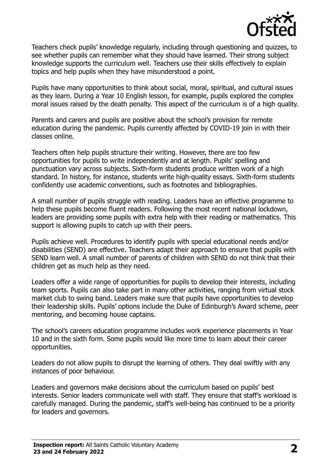

Teachers check pupils' knowledge regularly, including through questioning and quizzes, to see whether pupils can remember what they should have learned. Their strong subject knowledge supports the curriculum well. Teachers use their skills effectively to explain topics and help pupils when they have misunderstood a point.

Pupils have many opportunities to think about social, moral, spiritual, and cultural issues as they learn. During a Year 10 English lesson, for example, pupils explored the complex moral issues raised by the death penalty. This aspect of the curriculum is of a high quality.

Parents and carers and pupils are positive about the school's provision for remote education during the pandemic. Pupils currently affected by COVID-19 join in with their classes online.

Teachers often help pupils structure their writing. However, there are too few opportunities for pupils to write independently and at length. Pupils' spelling and punctuation vary across subjects. Sixth-form students produce written work of a high standard. In history, for instance, students write high-quality essays. Sixth-form students confidently use academic conventions, such as footnotes and bibliographies.

A small number of pupils struggle with reading. Leaders have an effective programme to help these pupils become fluent readers. Following the most recent national lockdown, leaders are providing some pupils with extra help with their reading or mathematics. This support is allowing pupils to catch up with their peers.

Pupils achieve well. Procedures to identify pupils with special educational needs and/or disabilities (SEND) are effective. Teachers adapt their approach to ensure that pupils with SEND learn well. A small number of parents of children with SEND do not think that their children get as much help as they need.

Leaders offer a wide range of opportunities for pupils to develop their interests, including team sports. Pupils can also take part in many other activities, ranging from virtual stock market club to swing band. Leaders make sure that pupils have opportunities to develop their leadership skills. Pupils' options include the Duke of Edinburgh's Award scheme, peer mentoring, and becoming house captains.

The school's careers education programme includes work experience placements in Year 10 and in the sixth form. Some pupils would like more time to learn about their career opportunities.

Leaders do not allow pupils to disrupt the learning of others. They deal swiftly with any instances of poor behaviour.

Leaders and governors make decisions about the curriculum based on pupils' best interests. Senior leaders communicate well with staff. They ensure that staff's workload is carefully managed. During the pandemic, staff's well-being has continued to be a priority for leaders and governors.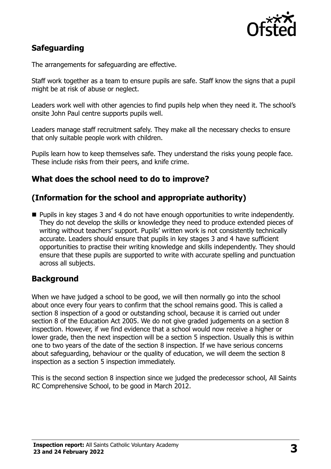

# **Safeguarding**

The arrangements for safeguarding are effective.

Staff work together as a team to ensure pupils are safe. Staff know the signs that a pupil might be at risk of abuse or neglect.

Leaders work well with other agencies to find pupils help when they need it. The school's onsite John Paul centre supports pupils well.

Leaders manage staff recruitment safely. They make all the necessary checks to ensure that only suitable people work with children.

Pupils learn how to keep themselves safe. They understand the risks young people face. These include risks from their peers, and knife crime.

# **What does the school need to do to improve?**

### **(Information for the school and appropriate authority)**

■ Pupils in key stages 3 and 4 do not have enough opportunities to write independently. They do not develop the skills or knowledge they need to produce extended pieces of writing without teachers' support. Pupils' written work is not consistently technically accurate. Leaders should ensure that pupils in key stages 3 and 4 have sufficient opportunities to practise their writing knowledge and skills independently. They should ensure that these pupils are supported to write with accurate spelling and punctuation across all subjects.

#### **Background**

When we have judged a school to be good, we will then normally go into the school about once every four years to confirm that the school remains good. This is called a section 8 inspection of a good or outstanding school, because it is carried out under section 8 of the Education Act 2005. We do not give graded judgements on a section 8 inspection. However, if we find evidence that a school would now receive a higher or lower grade, then the next inspection will be a section 5 inspection. Usually this is within one to two years of the date of the section 8 inspection. If we have serious concerns about safeguarding, behaviour or the quality of education, we will deem the section 8 inspection as a section 5 inspection immediately.

This is the second section 8 inspection since we judged the predecessor school, All Saints RC Comprehensive School, to be good in March 2012.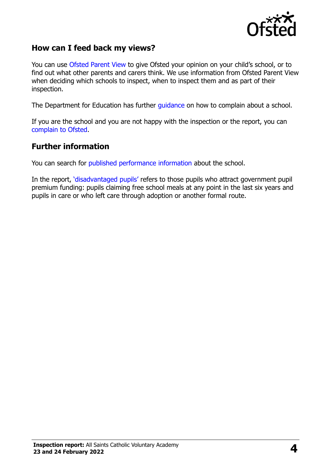

#### **How can I feed back my views?**

You can use [Ofsted Parent View](https://parentview.ofsted.gov.uk/) to give Ofsted your opinion on your child's school, or to find out what other parents and carers think. We use information from Ofsted Parent View when deciding which schools to inspect, when to inspect them and as part of their inspection.

The Department for Education has further [guidance](http://www.gov.uk/complain-about-school) on how to complain about a school.

If you are the school and you are not happy with the inspection or the report, you can [complain to Ofsted.](https://www.gov.uk/complain-ofsted-report)

#### **Further information**

You can search for [published performance information](http://www.compare-school-performance.service.gov.uk/) about the school.

In the report, '[disadvantaged pupils](http://www.gov.uk/guidance/pupil-premium-information-for-schools-and-alternative-provision-settings)' refers to those pupils who attract government pupil premium funding: pupils claiming free school meals at any point in the last six years and pupils in care or who left care through adoption or another formal route.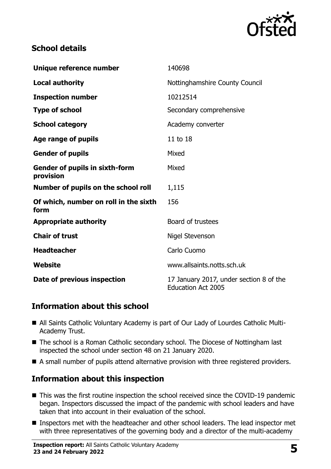

## **School details**

| Unique reference number                            | 140698                                                               |
|----------------------------------------------------|----------------------------------------------------------------------|
| <b>Local authority</b>                             | Nottinghamshire County Council                                       |
| <b>Inspection number</b>                           | 10212514                                                             |
| <b>Type of school</b>                              | Secondary comprehensive                                              |
| <b>School category</b>                             | Academy converter                                                    |
| Age range of pupils                                | 11 to 18                                                             |
| <b>Gender of pupils</b>                            | Mixed                                                                |
| <b>Gender of pupils in sixth-form</b><br>provision | Mixed                                                                |
| Number of pupils on the school roll                | 1,115                                                                |
| Of which, number on roll in the sixth<br>form      | 156                                                                  |
| <b>Appropriate authority</b>                       | Board of trustees                                                    |
| <b>Chair of trust</b>                              | Nigel Stevenson                                                      |
| <b>Headteacher</b>                                 | Carlo Cuomo                                                          |
| <b>Website</b>                                     | www.allsaints.notts.sch.uk                                           |
| Date of previous inspection                        | 17 January 2017, under section 8 of the<br><b>Education Act 2005</b> |

# **Information about this school**

- All Saints Catholic Voluntary Academy is part of Our Lady of Lourdes Catholic Multi-Academy Trust.
- The school is a Roman Catholic secondary school. The Diocese of Nottingham last inspected the school under section 48 on 21 January 2020.
- A small number of pupils attend alternative provision with three registered providers.

# **Information about this inspection**

- This was the first routine inspection the school received since the COVID-19 pandemic began. Inspectors discussed the impact of the pandemic with school leaders and have taken that into account in their evaluation of the school.
- Inspectors met with the headteacher and other school leaders. The lead inspector met with three representatives of the governing body and a director of the multi-academy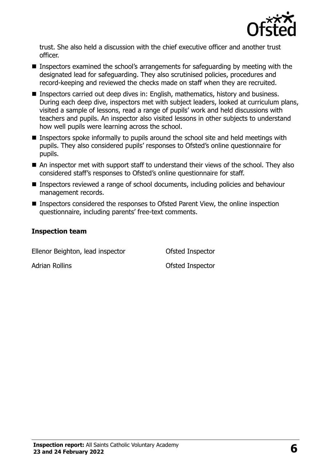

trust. She also held a discussion with the chief executive officer and another trust officer.

- Inspectors examined the school's arrangements for safeguarding by meeting with the designated lead for safeguarding. They also scrutinised policies, procedures and record-keeping and reviewed the checks made on staff when they are recruited.
- **Inspectors carried out deep dives in: English, mathematics, history and business.** During each deep dive, inspectors met with subject leaders, looked at curriculum plans, visited a sample of lessons, read a range of pupils' work and held discussions with teachers and pupils. An inspector also visited lessons in other subjects to understand how well pupils were learning across the school.
- **Inspectors spoke informally to pupils around the school site and held meetings with** pupils. They also considered pupils' responses to Ofsted's online questionnaire for pupils.
- An inspector met with support staff to understand their views of the school. They also considered staff's responses to Ofsted's online questionnaire for staff.
- Inspectors reviewed a range of school documents, including policies and behaviour management records.
- Inspectors considered the responses to Ofsted Parent View, the online inspection questionnaire, including parents' free-text comments.

#### **Inspection team**

Ellenor Beighton, lead inspector Ofsted Inspector

Adrian Rollins **Adrian Rolling Adrian Rolling C COLLECTE COLLECTE COLLECTE COLLECTE COLLECTE COLLECTE**